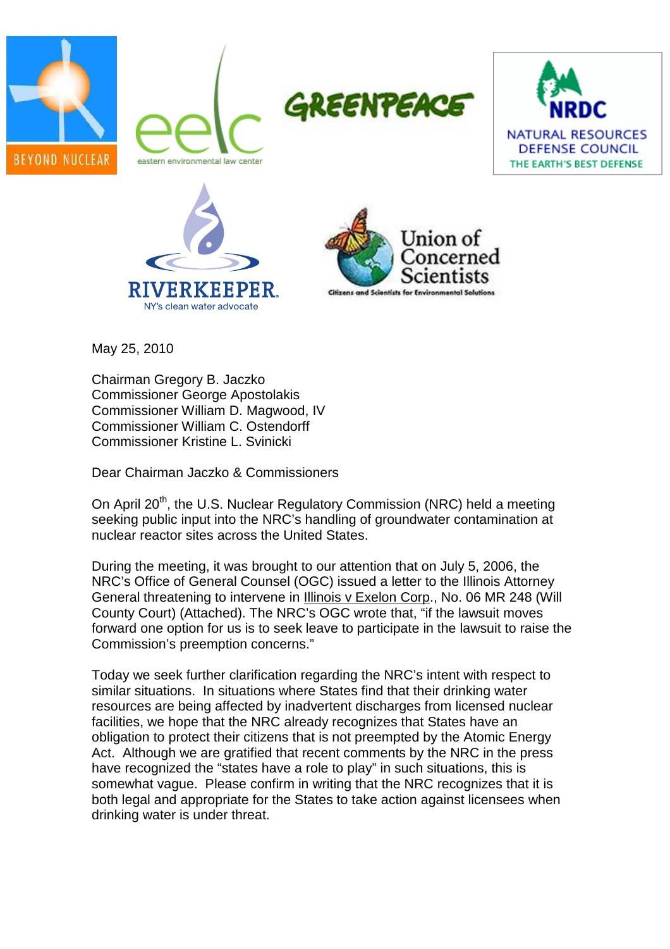











May 25, 2010

Chairman Gregory B. Jaczko Commissioner George Apostolakis Commissioner William D. Magwood, IV Commissioner William C. Ostendorff Commissioner Kristine L. Svinicki

Dear Chairman Jaczko & Commissioners

On April 20<sup>th</sup>, the U.S. Nuclear Regulatory Commission (NRC) held a meeting seeking public input into the NRC's handling of groundwater contamination at nuclear reactor sites across the United States.

During the meeting, it was brought to our attention that on July 5, 2006, the NRC's Office of General Counsel (OGC) issued a letter to the Illinois Attorney General threatening to intervene in Illinois v Exelon Corp., No. 06 MR 248 (Will County Court) (Attached). The NRC's OGC wrote that, "if the lawsuit moves forward one option for us is to seek leave to participate in the lawsuit to raise the Commission's preemption concerns."

Today we seek further clarification regarding the NRC's intent with respect to similar situations. In situations where States find that their drinking water resources are being affected by inadvertent discharges from licensed nuclear facilities, we hope that the NRC already recognizes that States have an obligation to protect their citizens that is not preempted by the Atomic Energy Act. Although we are gratified that recent comments by the NRC in the press have recognized the "states have a role to play" in such situations, this is somewhat vague. Please confirm in writing that the NRC recognizes that it is both legal and appropriate for the States to take action against licensees when drinking water is under threat.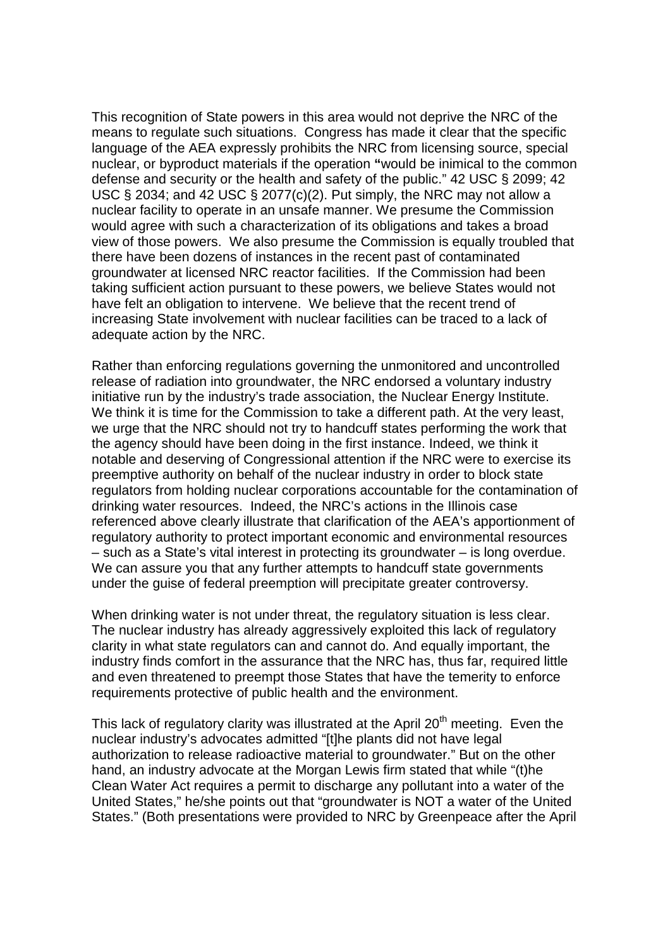This recognition of State powers in this area would not deprive the NRC of the means to regulate such situations. Congress has made it clear that the specific language of the AEA expressly prohibits the NRC from licensing source, special nuclear, or byproduct materials if the operation **"**would be inimical to the common defense and security or the health and safety of the public." 42 USC § 2099; 42 USC § 2034; and 42 USC § 2077(c)(2). Put simply, the NRC may not allow a nuclear facility to operate in an unsafe manner. We presume the Commission would agree with such a characterization of its obligations and takes a broad view of those powers. We also presume the Commission is equally troubled that there have been dozens of instances in the recent past of contaminated groundwater at licensed NRC reactor facilities. If the Commission had been taking sufficient action pursuant to these powers, we believe States would not have felt an obligation to intervene. We believe that the recent trend of increasing State involvement with nuclear facilities can be traced to a lack of adequate action by the NRC.

Rather than enforcing regulations governing the unmonitored and uncontrolled release of radiation into groundwater, the NRC endorsed a voluntary industry initiative run by the industry's trade association, the Nuclear Energy Institute. We think it is time for the Commission to take a different path. At the very least, we urge that the NRC should not try to handcuff states performing the work that the agency should have been doing in the first instance. Indeed, we think it notable and deserving of Congressional attention if the NRC were to exercise its preemptive authority on behalf of the nuclear industry in order to block state regulators from holding nuclear corporations accountable for the contamination of drinking water resources. Indeed, the NRC's actions in the Illinois case referenced above clearly illustrate that clarification of the AEA's apportionment of regulatory authority to protect important economic and environmental resources – such as a State's vital interest in protecting its groundwater – is long overdue. We can assure you that any further attempts to handcuff state governments under the guise of federal preemption will precipitate greater controversy.

When drinking water is not under threat, the regulatory situation is less clear. The nuclear industry has already aggressively exploited this lack of regulatory clarity in what state regulators can and cannot do. And equally important, the industry finds comfort in the assurance that the NRC has, thus far, required little and even threatened to preempt those States that have the temerity to enforce requirements protective of public health and the environment.

This lack of regulatory clarity was illustrated at the April  $20<sup>th</sup>$  meeting. Even the nuclear industry's advocates admitted "[t]he plants did not have legal authorization to release radioactive material to groundwater." But on the other hand, an industry advocate at the Morgan Lewis firm stated that while "(t)he Clean Water Act requires a permit to discharge any pollutant into a water of the United States," he/she points out that "groundwater is NOT a water of the United States." (Both presentations were provided to NRC by Greenpeace after the April